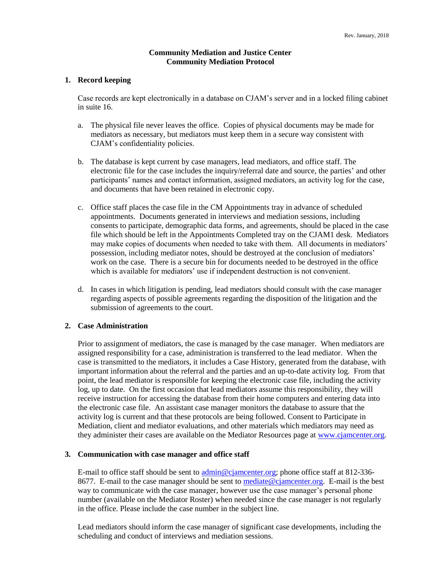### **Community Mediation and Justice Center Community Mediation Protocol**

#### **1. Record keeping**

Case records are kept electronically in a database on CJAM's server and in a locked filing cabinet in suite 16.

- a. The physical file never leaves the office. Copies of physical documents may be made for mediators as necessary, but mediators must keep them in a secure way consistent with CJAM's confidentiality policies.
- b. The database is kept current by case managers, lead mediators, and office staff. The electronic file for the case includes the inquiry/referral date and source, the parties' and other participants' names and contact information, assigned mediators, an activity log for the case, and documents that have been retained in electronic copy.
- c. Office staff places the case file in the CM Appointments tray in advance of scheduled appointments. Documents generated in interviews and mediation sessions, including consents to participate, demographic data forms, and agreements, should be placed in the case file which should be left in the Appointments Completed tray on the CJAM1 desk. Mediators may make copies of documents when needed to take with them. All documents in mediators' possession, including mediator notes, should be destroyed at the conclusion of mediators' work on the case. There is a secure bin for documents needed to be destroyed in the office which is available for mediators' use if independent destruction is not convenient.
- d. In cases in which litigation is pending, lead mediators should consult with the case manager regarding aspects of possible agreements regarding the disposition of the litigation and the submission of agreements to the court.

### **2. Case Administration**

Prior to assignment of mediators, the case is managed by the case manager. When mediators are assigned responsibility for a case, administration is transferred to the lead mediator. When the case is transmitted to the mediators, it includes a Case History, generated from the database, with important information about the referral and the parties and an up-to-date activity log. From that point, the lead mediator is responsible for keeping the electronic case file, including the activity log, up to date. On the first occasion that lead mediators assume this responsibility, they will receive instruction for accessing the database from their home computers and entering data into the electronic case file. An assistant case manager monitors the database to assure that the activity log is current and that these protocols are being followed. Consent to Participate in Mediation, client and mediator evaluations, and other materials which mediators may need as they administer their cases are available on the Mediator Resources page at [www.cjamcenter.org.](http://www.cjamcenter.org/)

#### **3. Communication with case manager and office staff**

E-mail to office staff should be sent t[o admin@cjamcenter.org;](mailto:admin@cjamcenter.org) phone office staff at 812-336- 8677. E-mail to the case manager should be sent t[o mediate@cjamcenter.org.](mailto:mediate@cjamcenter.org) E-mail is the best way to communicate with the case manager, however use the case manager's personal phone number (available on the Mediator Roster) when needed since the case manager is not regularly in the office. Please include the case number in the subject line.

Lead mediators should inform the case manager of significant case developments, including the scheduling and conduct of interviews and mediation sessions.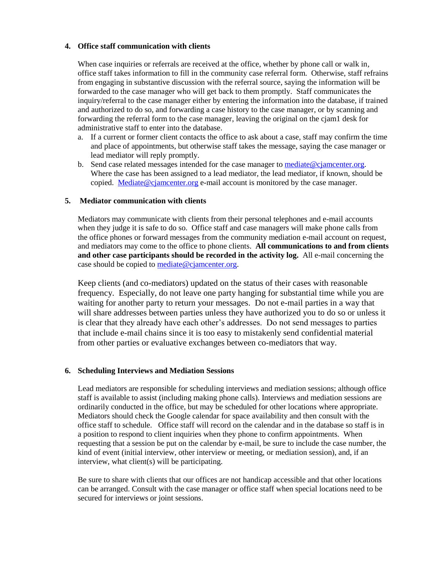# **4. Office staff communication with clients**

When case inquiries or referrals are received at the office, whether by phone call or walk in, office staff takes information to fill in the community case referral form. Otherwise, staff refrains from engaging in substantive discussion with the referral source, saying the information will be forwarded to the case manager who will get back to them promptly. Staff communicates the inquiry/referral to the case manager either by entering the information into the database, if trained and authorized to do so, and forwarding a case history to the case manager, or by scanning and forwarding the referral form to the case manager, leaving the original on the cjam1 desk for administrative staff to enter into the database.

- a. If a current or former client contacts the office to ask about a case, staff may confirm the time and place of appointments, but otherwise staff takes the message, saying the case manager or lead mediator will reply promptly.
- b. Send case related messages intended for the case manager to [mediate@cjamcenter.org.](mailto:mediate@cjamcenter.org) Where the case has been assigned to a lead mediator, the lead mediator, if known, should be copied. [Mediate@cjamcenter.org](mailto:Mediate@cjamcenter.org) e-mail account is monitored by the case manager.

# **5. Mediator communication with clients**

Mediators may communicate with clients from their personal telephones and e-mail accounts when they judge it is safe to do so. Office staff and case managers will make phone calls from the office phones or forward messages from the community mediation e-mail account on request, and mediators may come to the office to phone clients. **All communications to and from clients and other case participants should be recorded in the activity log.** All e-mail concerning the case should be copied to [mediate@cjamcenter.org.](mailto:mediate@cjamcenter.org)

Keep clients (and co-mediators) updated on the status of their cases with reasonable frequency. Especially, do not leave one party hanging for substantial time while you are waiting for another party to return your messages. Do not e-mail parties in a way that will share addresses between parties unless they have authorized you to do so or unless it is clear that they already have each other's addresses. Do not send messages to parties that include e-mail chains since it is too easy to mistakenly send confidential material from other parties or evaluative exchanges between co-mediators that way.

# **6. Scheduling Interviews and Mediation Sessions**

Lead mediators are responsible for scheduling interviews and mediation sessions; although office staff is available to assist (including making phone calls). Interviews and mediation sessions are ordinarily conducted in the office, but may be scheduled for other locations where appropriate. Mediators should check the Google calendar for space availability and then consult with the office staff to schedule. Office staff will record on the calendar and in the database so staff is in a position to respond to client inquiries when they phone to confirm appointments. When requesting that a session be put on the calendar by e-mail, be sure to include the case number, the kind of event (initial interview, other interview or meeting, or mediation session), and, if an interview, what client(s) will be participating.

Be sure to share with clients that our offices are not handicap accessible and that other locations can be arranged. Consult with the case manager or office staff when special locations need to be secured for interviews or joint sessions.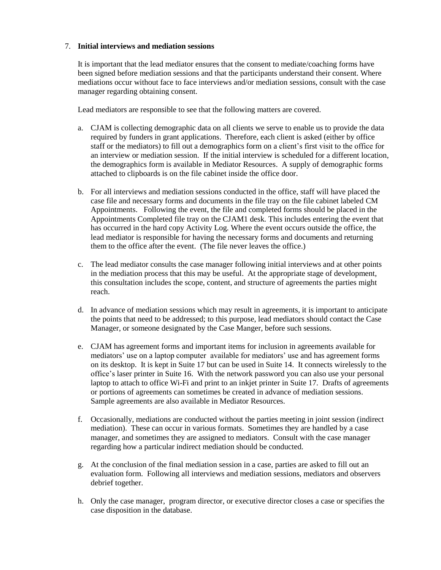# 7. **Initial interviews and mediation sessions**

It is important that the lead mediator ensures that the consent to mediate/coaching forms have been signed before mediation sessions and that the participants understand their consent. Where mediations occur without face to face interviews and/or mediation sessions, consult with the case manager regarding obtaining consent.

Lead mediators are responsible to see that the following matters are covered.

- a. CJAM is collecting demographic data on all clients we serve to enable us to provide the data required by funders in grant applications. Therefore, each client is asked (either by office staff or the mediators) to fill out a demographics form on a client's first visit to the office for an interview or mediation session. If the initial interview is scheduled for a different location, the demographics form is available in Mediator Resources. A supply of demographic forms attached to clipboards is on the file cabinet inside the office door.
- b. For all interviews and mediation sessions conducted in the office, staff will have placed the case file and necessary forms and documents in the file tray on the file cabinet labeled CM Appointments. Following the event, the file and completed forms should be placed in the Appointments Completed file tray on the CJAM1 desk. This includes entering the event that has occurred in the hard copy Activity Log. Where the event occurs outside the office, the lead mediator is responsible for having the necessary forms and documents and returning them to the office after the event. (The file never leaves the office.)
- c. The lead mediator consults the case manager following initial interviews and at other points in the mediation process that this may be useful. At the appropriate stage of development, this consultation includes the scope, content, and structure of agreements the parties might reach.
- d. In advance of mediation sessions which may result in agreements, it is important to anticipate the points that need to be addressed; to this purpose, lead mediators should contact the Case Manager, or someone designated by the Case Manger, before such sessions.
- e. CJAM has agreement forms and important items for inclusion in agreements available for mediators' use on a laptop computer available for mediators' use and has agreement forms on its desktop. It is kept in Suite 17 but can be used in Suite 14. It connects wirelessly to the office's laser printer in Suite 16. With the network password you can also use your personal laptop to attach to office Wi-Fi and print to an inkjet printer in Suite 17. Drafts of agreements or portions of agreements can sometimes be created in advance of mediation sessions. Sample agreements are also available in Mediator Resources.
- f. Occasionally, mediations are conducted without the parties meeting in joint session (indirect mediation). These can occur in various formats. Sometimes they are handled by a case manager, and sometimes they are assigned to mediators. Consult with the case manager regarding how a particular indirect mediation should be conducted.
- g. At the conclusion of the final mediation session in a case, parties are asked to fill out an evaluation form. Following all interviews and mediation sessions, mediators and observers debrief together.
- h. Only the case manager, program director, or executive director closes a case or specifies the case disposition in the database.